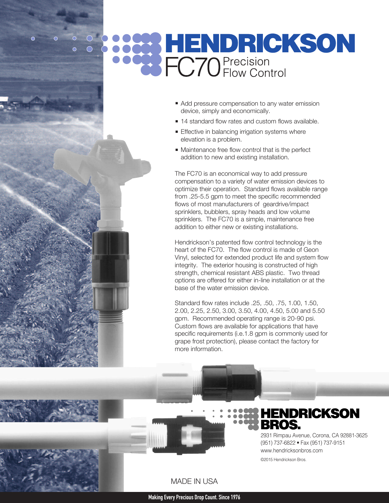# **BENDRICKSON**

- Add pressure compensation to any water emission device, simply and economically.
- **14 standard flow rates and custom flows available.**
- **Effective in balancing irrigation systems where** elevation is a problem.
- $\blacksquare$  Maintenance free flow control that is the perfect addition to new and existing installation.

The FC70 is an economical way to add pressure compensation to a variety of water emission devices to optimize their operation. Standard flows available range from .25-5.5 gpm to meet the specific recommended flows of most manufacturers of geardrive/impact sprinklers, bubblers, spray heads and low volume sprinklers. The FC70 is a simple, maintenance free addition to either new or existing installations.

Hendrickson's patented flow control technology is the heart of the FC70. The flow control is made of Geon Vinyl, selected for extended product life and system flow integrity. The exterior housing is constructed of high strength, chemical resistant ABS plastic. Two thread options are offered for either in-line installation or at the base of the water emission device.

Standard flow rates include .25, .50, .75, 1.00, 1.50, 2.00, 2.25, 2.50, 3.00, 3.50, 4.00, 4.50, 5.00 and 5.50 gpm. Recommended operating range is 20-90 psi. Custom flows are available for applications that have specific requirements (i.e.1.8 gpm is commonly used for grape frost protection), please contact the factory for more information.



### MADE IN USA

## **HENDRICKSON** BROS.

2931 Rimpau Avenue, Corona, CA 92881-3625 (951) 737-6822 • Fax (951) 737-9151 www.hendricksonbros.com

©2015 Hendrickson Bros.